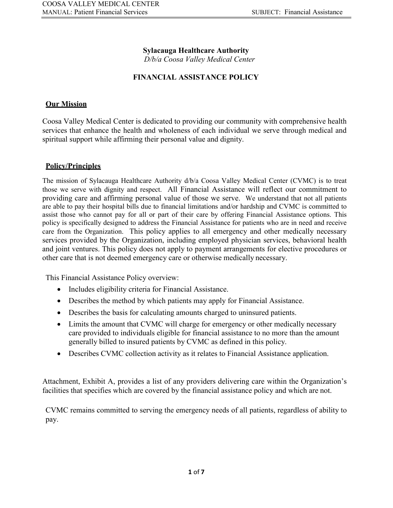### **Sylacauga Healthcare Authority**

*D/b/a Coosa Valley Medical Center*

### **FINANCIAL ASSISTANCE POLICY**

#### **Our Mission**

Coosa Valley Medical Center is dedicated to providing our community with comprehensive health services that enhance the health and wholeness of each individual we serve through medical and spiritual support while affirming their personal value and dignity.

#### **Policy/Principles**

The mission of Sylacauga Healthcare Authority d/b/a Coosa Valley Medical Center (CVMC) is to treat those we serve with dignity and respect. All Financial Assistance will reflect our commitment to providing care and affirming personal value of those we serve. We understand that not all patients are able to pay their hospital bills due to financial limitations and/or hardship and CVMC is committed to assist those who cannot pay for all or part of their care by offering Financial Assistance options. This policy is specifically designed to address the Financial Assistance for patients who are in need and receive care from the Organization. This policy applies to all emergency and other medically necessary services provided by the Organization, including employed physician services, behavioral health and joint ventures. This policy does not apply to payment arrangements for elective procedures or other care that is not deemed emergency care or otherwise medically necessary.

This Financial Assistance Policy overview:

- Includes eligibility criteria for Financial Assistance.
- Describes the method by which patients may apply for Financial Assistance.
- Describes the basis for calculating amounts charged to uninsured patients.
- Limits the amount that CVMC will charge for emergency or other medically necessary care provided to individuals eligible for financial assistance to no more than the amount generally billed to insured patients by CVMC as defined in this policy.
- Describes CVMC collection activity as it relates to Financial Assistance application.

Attachment, Exhibit A, provides a list of any providers delivering care within the Organization's facilities that specifies which are covered by the financial assistance policy and which are not.

CVMC remains committed to serving the emergency needs of all patients, regardless of ability to pay.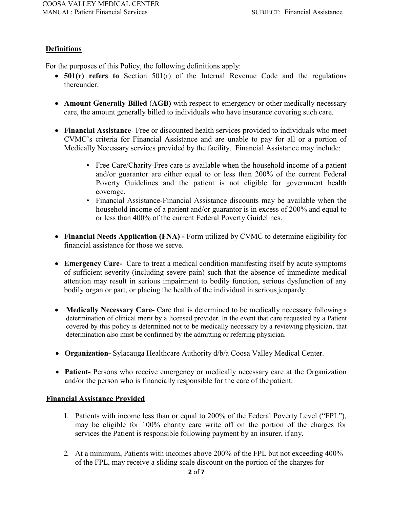# **Definitions**

For the purposes of this Policy, the following definitions apply:

- **501(r) refers to** Section 501(r) of the Internal Revenue Code and the regulations thereunder.
- **Amount Generally Billed** (**AGB)** with respect to emergency or other medically necessary care, the amount generally billed to individuals who have insurance covering such care.
- **Financial Assistance** Free or discounted health services provided to individuals who meet CVMC's criteria for Financial Assistance and are unable to pay for all or a portion of Medically Necessary services provided by the facility. Financial Assistance may include:
	- Free Care/Charity-Free care is available when the household income of a patient and/or guarantor are either equal to or less than 200% of the current Federal Poverty Guidelines and the patient is not eligible for government health coverage.
	- Financial Assistance-Financial Assistance discounts may be available when the household income of a patient and/or guarantor is in excess of 200% and equal to or less than 400% of the current Federal Poverty Guidelines.
- **Financial Needs Application (FNA) -** Form utilized by CVMC to determine eligibility for financial assistance for those we serve.
- **Emergency Care-** Care to treat a medical condition manifesting itself by acute symptoms of sufficient severity (including severe pain) such that the absence of immediate medical attention may result in serious impairment to bodily function, serious dysfunction of any bodily organ or part, or placing the health of the individual in serious jeopardy.
- **Medically Necessary Care-** Care that is determined to be medically necessary following a determination of clinical merit by a licensed provider. In the event that care requested by a Patient covered by this policy is determined not to be medically necessary by a reviewing physician, that determination also must be confirmed by the admitting or referring physician.
- **Organization-** Sylacauga Healthcare Authority d/b/a Coosa Valley Medical Center.
- **Patient-** Persons who receive emergency or medically necessary care at the Organization and/or the person who is financially responsible for the care of the patient.

### **Financial Assistance Provided**

- 1. Patients with income less than or equal to 200% of the Federal Poverty Level ("FPL"), may be eligible for 100% charity care write off on the portion of the charges for services the Patient is responsible following payment by an insurer, if any.
- 2. At a minimum, Patients with incomes above 200% of the FPL but not exceeding 400% of the FPL, may receive a sliding scale discount on the portion of the charges for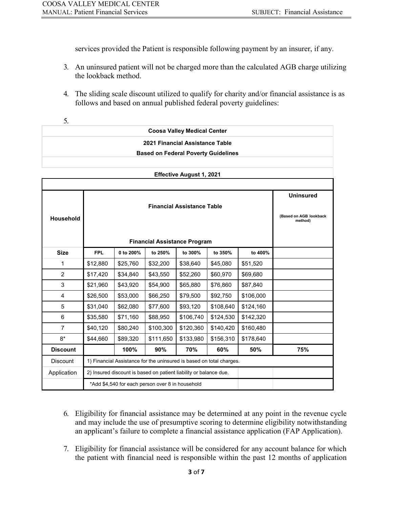services provided the Patient is responsible following payment by an insurer, if any.

- 3. An uninsured patient will not be charged more than the calculated AGB charge utilizing the lookback method.
- 4. The sliding scale discount utilized to qualify for charity and/or financial assistance is as follows and based on annual published federal poverty guidelines:

|  | 2021 Financial Assistance Table            |  |
|--|--------------------------------------------|--|
|  | <b>Based on Federal Poverty Guidelines</b> |  |
|  |                                            |  |
|  | <b>Effective August 1, 2021</b>            |  |

| Household       |                                                  |                                                                      |           | <b>Financial Assistance Table</b><br><b>Financial Assistance Program</b> |           |           | <b>Uninsured</b><br>(Based on AGB lookback<br>method) |  |
|-----------------|--------------------------------------------------|----------------------------------------------------------------------|-----------|--------------------------------------------------------------------------|-----------|-----------|-------------------------------------------------------|--|
| <b>Size</b>     | <b>FPL</b>                                       | 0 to 200%                                                            | to 250%   | to 300%                                                                  | to 350%   | to 400%   |                                                       |  |
| 1               | \$12,880                                         | \$25,760                                                             | \$32,200  | \$38,640                                                                 | \$45,080  | \$51,520  |                                                       |  |
| 2               | \$17,420                                         | \$34,840                                                             | \$43,550  | \$52,260                                                                 | \$60,970  | \$69,680  |                                                       |  |
| 3               | \$21,960                                         | \$43,920                                                             | \$54,900  | \$65,880                                                                 | \$76,860  | \$87,840  |                                                       |  |
| 4               | \$26,500                                         | \$53,000                                                             | \$66,250  | \$79,500                                                                 | \$92,750  | \$106,000 |                                                       |  |
| 5               | \$31,040                                         | \$62,080                                                             | \$77,600  | \$93,120                                                                 | \$108,640 | \$124,160 |                                                       |  |
| 6               | \$35,580                                         | \$71,160                                                             | \$88,950  | \$106,740                                                                | \$124,530 | \$142,320 |                                                       |  |
| $\overline{7}$  | \$40,120                                         | \$80,240                                                             | \$100,300 | \$120,360                                                                | \$140,420 | \$160,480 |                                                       |  |
| $8*$            | \$44,660                                         | \$89,320                                                             | \$111,650 | \$133,980                                                                | \$156,310 | \$178,640 |                                                       |  |
| <b>Discount</b> |                                                  | 100%                                                                 | 90%       | 70%                                                                      | 60%       | 50%       | 75%                                                   |  |
| <b>Discount</b> |                                                  | 1) Financial Assistance for the uninsured is based on total charges. |           |                                                                          |           |           |                                                       |  |
| Application     |                                                  | 2) Insured discount is based on patient liability or balance due.    |           |                                                                          |           |           |                                                       |  |
|                 | *Add \$4,540 for each person over 8 in household |                                                                      |           |                                                                          |           |           |                                                       |  |

- 6. Eligibility for financial assistance may be determined at any point in the revenue cycle and may include the use of presumptive scoring to determine eligibility notwithstanding an applicant's failure to complete a financial assistance application (FAP Application).
- 7. Eligibility for financial assistance will be considered for any account balance for which the patient with financial need is responsible within the past 12 months of application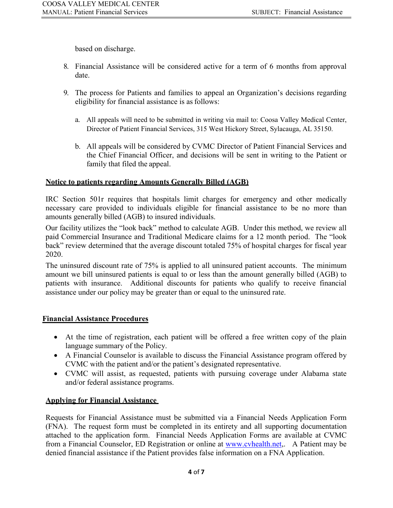based on discharge.

- 8. Financial Assistance will be considered active for a term of 6 months from approval date.
- 9. The process for Patients and families to appeal an Organization's decisions regarding eligibility for financial assistance is as follows:
	- a. All appeals will need to be submitted in writing via mail to: Coosa Valley Medical Center, Director of Patient Financial Services, 315 West Hickory Street, Sylacauga, AL 35150.
	- b. All appeals will be considered by CVMC Director of Patient Financial Services and the Chief Financial Officer, and decisions will be sent in writing to the Patient or family that filed the appeal.

### **Notice to patients regarding Amounts Generally Billed (AGB)**

IRC Section 501r requires that hospitals limit charges for emergency and other medically necessary care provided to individuals eligible for financial assistance to be no more than amounts generally billed (AGB) to insured individuals.

Our facility utilizes the "look back" method to calculate AGB. Under this method, we review all paid Commercial Insurance and Traditional Medicare claims for a 12 month period. The "look back" review determined that the average discount totaled 75% of hospital charges for fiscal year 2020.

The uninsured discount rate of 75% is applied to all uninsured patient accounts. The minimum amount we bill uninsured patients is equal to or less than the amount generally billed (AGB) to patients with insurance. Additional discounts for patients who qualify to receive financial assistance under our policy may be greater than or equal to the uninsured rate.

# **Financial Assistance Procedures**

- At the time of registration, each patient will be offered a free written copy of the plain language summary of the Policy.
- A Financial Counselor is available to discuss the Financial Assistance program offered by CVMC with the patient and/or the patient's designated representative.
- CVMC will assist, as requested, patients with pursuing coverage under Alabama state and/or federal assistance programs.

# **Applying for Financial Assistance**

Requests for Financial Assistance must be submitted via a Financial Needs Application Form (FNA). The request form must be completed in its entirety and all supporting documentation attached to the application form. Financial Needs Application Forms are available at CVMC from a Financial Counselor, ED Registration or online at [www.cvhealth.net,](http://www.cvhealth.net/). A Patient may be denied financial assistance if the Patient provides false information on a FNA Application.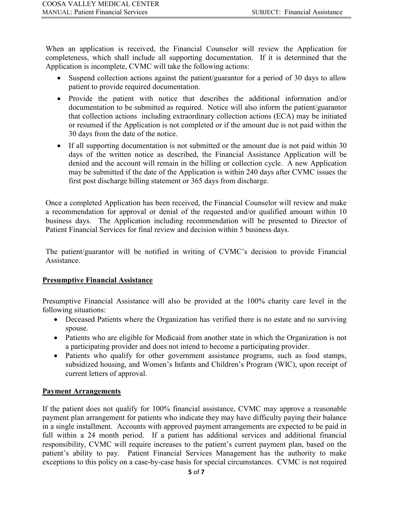When an application is received, the Financial Counselor will review the Application for completeness, which shall include all supporting documentation. If it is determined that the Application is incomplete, CVMC will take the following actions:

- Suspend collection actions against the patient/guarantor for a period of 30 days to allow patient to provide required documentation.
- Provide the patient with notice that describes the additional information and/or documentation to be submitted as required. Notice will also inform the patient/guarantor that collection actions including extraordinary collection actions (ECA) may be initiated or resumed if the Application is not completed or if the amount due is not paid within the 30 days from the date of the notice.
- If all supporting documentation is not submitted or the amount due is not paid within 30 days of the written notice as described, the Financial Assistance Application will be denied and the account will remain in the billing or collection cycle. A new Application may be submitted if the date of the Application is within 240 days after CVMC issues the first post discharge billing statement or 365 days from discharge.

Once a completed Application has been received, the Financial Counselor will review and make a recommendation for approval or denial of the requested and/or qualified amount within 10 business days. The Application including recommendation will be presented to Director of Patient Financial Services for final review and decision within 5 business days.

The patient/guarantor will be notified in writing of CVMC's decision to provide Financial Assistance.

### **Presumptive Financial Assistance**

Presumptive Financial Assistance will also be provided at the 100% charity care level in the following situations:

- Deceased Patients where the Organization has verified there is no estate and no surviving spouse.
- Patients who are eligible for Medicaid from another state in which the Organization is not a participating provider and does not intend to become a participating provider.
- Patients who qualify for other government assistance programs, such as food stamps, subsidized housing, and Women's Infants and Children's Program (WIC), upon receipt of current letters of approval.

### **Payment Arrangements**

If the patient does not qualify for 100% financial assistance, CVMC may approve a reasonable payment plan arrangement for patients who indicate they may have difficulty paying their balance in a single installment. Accounts with approved payment arrangements are expected to be paid in full within a 24 month period. If a patient has additional services and additional financial responsibility, CVMC will require increases to the patient's current payment plan, based on the patient's ability to pay. Patient Financial Services Management has the authority to make exceptions to this policy on a case-by-case basis for special circumstances. CVMC is not required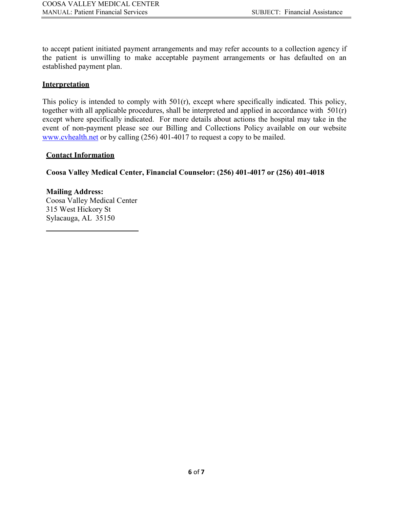to accept patient initiated payment arrangements and may refer accounts to a collection agency if the patient is unwilling to make acceptable payment arrangements or has defaulted on an established payment plan.

#### **Interpretation**

This policy is intended to comply with 501(r), except where specifically indicated. This policy, together with all applicable procedures, shall be interpreted and applied in accordance with 501(r) except where specifically indicated. For more details about actions the hospital may take in the event of non-payment please see our Billing and Collections Policy available on our website [www.cvhealth.net](http://www.cvhealth.net/) or by calling (256) 401-4017 to request a copy to be mailed.

#### **Contact Information**

**Coosa Valley Medical Center, Financial Counselor: (256) 401-4017 or (256) 401-4018**

**Mailing Address:** Coosa Valley Medical Center 315 West Hickory St Sylacauga, AL 35150